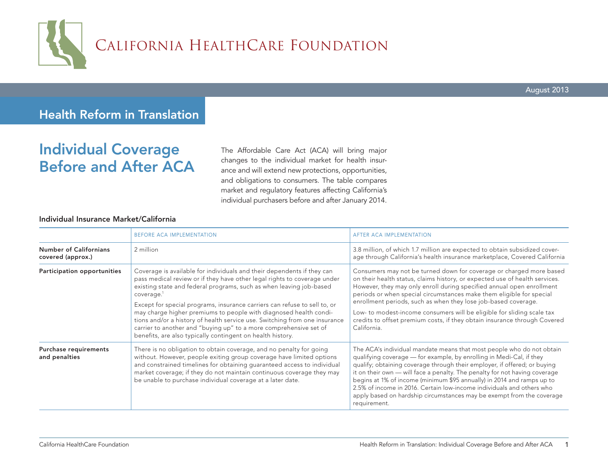

# Health Reform in Translation

# Individual Coverage Before and After ACA

The Affordable Care Act (ACA) will bring major changes to the individual market for health insurance and will extend new protections, opportunities, and obligations to consumers. The table compares market and regulatory features affecting California's individual purchasers before and after January 2014.

## Individual Insurance Market/California

|                                                    | <b>BEFORE ACA IMPLEMENTATION</b>                                                                                                                                                                                                                                                                                                                                                                                                                                                                                                                                                                                       | AFTER ACA IMPLEMENTATION                                                                                                                                                                                                                                                                                                                                                                                                                                                                                                                             |
|----------------------------------------------------|------------------------------------------------------------------------------------------------------------------------------------------------------------------------------------------------------------------------------------------------------------------------------------------------------------------------------------------------------------------------------------------------------------------------------------------------------------------------------------------------------------------------------------------------------------------------------------------------------------------------|------------------------------------------------------------------------------------------------------------------------------------------------------------------------------------------------------------------------------------------------------------------------------------------------------------------------------------------------------------------------------------------------------------------------------------------------------------------------------------------------------------------------------------------------------|
| <b>Number of Californians</b><br>covered (approx.) | 2 million                                                                                                                                                                                                                                                                                                                                                                                                                                                                                                                                                                                                              | 3.8 million, of which 1.7 million are expected to obtain subsidized cover-<br>age through California's health insurance marketplace, Covered California                                                                                                                                                                                                                                                                                                                                                                                              |
| Participation opportunities                        | Coverage is available for individuals and their dependents if they can<br>pass medical review or if they have other legal rights to coverage under<br>existing state and federal programs, such as when leaving job-based<br>coverage. <sup>1</sup><br>Except for special programs, insurance carriers can refuse to sell to, or<br>may charge higher premiums to people with diagnosed health condi-<br>tions and/or a history of health service use. Switching from one insurance<br>carrier to another and "buying up" to a more comprehensive set of<br>benefits, are also typically contingent on health history. | Consumers may not be turned down for coverage or charged more based<br>on their health status, claims history, or expected use of health services.<br>However, they may only enroll during specified annual open enrollment<br>periods or when special circumstances make them eligible for special<br>enrollment periods, such as when they lose job-based coverage.<br>Low- to modest-income consumers will be eligible for sliding scale tax<br>credits to offset premium costs, if they obtain insurance through Covered<br>California.          |
| Purchase requirements<br>and penalties             | There is no obligation to obtain coverage, and no penalty for going<br>without. However, people exiting group coverage have limited options<br>and constrained timelines for obtaining guaranteed access to individual<br>market coverage; if they do not maintain continuous coverage they may<br>be unable to purchase individual coverage at a later date.                                                                                                                                                                                                                                                          | The ACA's individual mandate means that most people who do not obtain<br>qualifying coverage — for example, by enrolling in Medi-Cal, if they<br>qualify; obtaining coverage through their employer, if offered; or buying<br>it on their own - will face a penalty. The penalty for not having coverage<br>begins at 1% of income (minimum \$95 annually) in 2014 and ramps up to<br>2.5% of income in 2016. Certain low-income individuals and others who<br>apply based on hardship circumstances may be exempt from the coverage<br>requirement. |